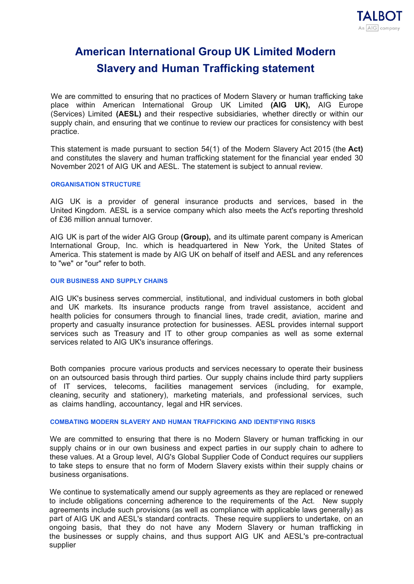# **American International Group UK Limited Modern Slavery and Human Trafficking statement**

We are committed to ensuring that no practices of Modern Slavery or human trafficking take place within American International Group UK Limited **(AIG UK),** AIG Europe (Services) Limited **(AESL)** and their respective subsidiaries, whether directly or within our supply chain, and ensuring that we continue to review our practices for consistency with best practice.

This statement is made pursuant to section 54(1) of the Modern Slavery Act 2015 (the **Act)**  and constitutes the slavery and human trafficking statement for the financial year ended 30 November 2021 of AIG UK and AESL. The statement is subject to annual review.

# **ORGANISATION STRUCTURE**

AIG UK is a provider of general insurance products and services, based in the United Kingdom. AESL is a service company which also meets the Act's reporting threshold of £36 million annual turnover.

AIG UK is part of the wider AIG Group **(Group),** and its ultimate parent company is American International Group, Inc. which is headquartered in New York, the United States of America. This statement is made by AIG UK on behalf of itself and AESL and any references to "we" or "our" refer to both.

# **OUR BUSINESS AND SUPPLY CHAINS**

AIG UK's business serves commercial, institutional, and individual customers in both global and UK markets. Its insurance products range from travel assistance, accident and health policies for consumers through to financial lines, trade credit, aviation, marine and property and casualty insurance protection for businesses. AESL provides internal support services such as Treasury and IT to other group companies as well as some external services related to AIG UK's insurance offerings.

Both companies procure various products and services necessary to operate their business on an outsourced basis through third parties. Our supply chains include third party suppliers of IT services, telecoms, facilities management services (including, for example, cleaning, security and stationery), marketing materials, and professional services, such as claims handling, accountancy, legal and HR services.

### **COMBATING MODERN SLAVERY AND HUMAN TRAFFICKING AND IDENTIFYING RISKS**

We are committed to ensuring that there is no Modern Slavery or human trafficking in our supply chains or in our own business and expect parties in our supply chain to adhere to these values. At a Group level, AlG's Global Supplier Code of Conduct requires our suppliers to take steps to ensure that no form of Modern Slavery exists within their supply chains or business organisations.

We continue to systematically amend our supply agreements as they are replaced or renewed to include obligations concerning adherence to the requirements of the Act. New supply agreements include such provisions (as well as compliance with applicable laws generally) as part of AIG UK and AESL's standard contracts. These require suppliers to undertake, on an ongoing basis, that they do not have any Modern Slavery or human trafficking in the businesses or supply chains, and thus support AIG UK and AESL's pre-contractual supplier